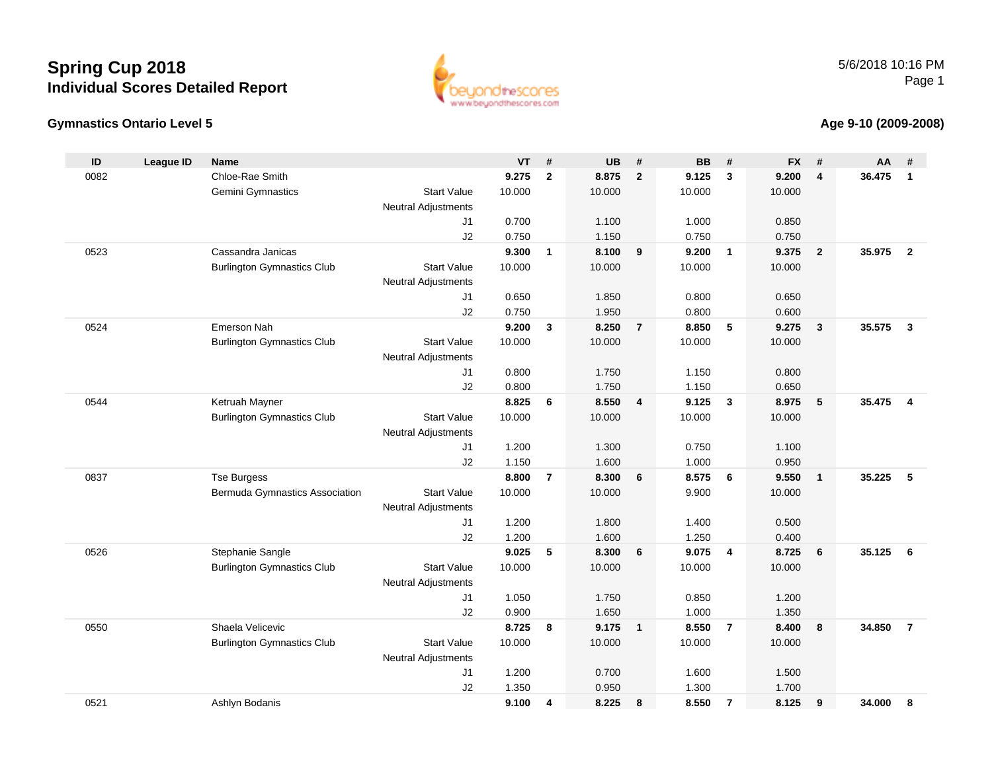



#### **Age 9-10 (2009-2008)**

| ID   | <b>League ID</b> | <b>Name</b>                       |                            | <b>VT</b>      | #              | <b>UB</b>      | #                       | <b>BB</b>      | #                       | <b>FX</b>      | #              | AA     | #              |
|------|------------------|-----------------------------------|----------------------------|----------------|----------------|----------------|-------------------------|----------------|-------------------------|----------------|----------------|--------|----------------|
| 0082 |                  | Chloe-Rae Smith                   |                            | 9.275          | $\mathbf{2}$   | 8.875          | $\overline{2}$          | 9.125          | 3                       | 9.200          | 4              | 36.475 | $\mathbf{1}$   |
|      |                  | Gemini Gymnastics                 | <b>Start Value</b>         | 10.000         |                | 10.000         |                         | 10.000         |                         | 10.000         |                |        |                |
|      |                  |                                   | Neutral Adjustments        |                |                |                |                         |                |                         |                |                |        |                |
|      |                  |                                   | J1                         | 0.700          |                | 1.100          |                         | 1.000          |                         | 0.850          |                |        |                |
|      |                  |                                   | J2                         | 0.750          |                | 1.150          |                         | 0.750          |                         | 0.750          |                |        |                |
| 0523 |                  | Cassandra Janicas                 |                            | 9.300          | $\mathbf{1}$   | 8.100          | 9                       | 9.200          | $\overline{\mathbf{1}}$ | 9.375          | $\overline{2}$ | 35.975 | $\overline{2}$ |
|      |                  | <b>Burlington Gymnastics Club</b> | <b>Start Value</b>         | 10.000         |                | 10.000         |                         | 10.000         |                         | 10.000         |                |        |                |
|      |                  |                                   | Neutral Adjustments        |                |                |                |                         |                |                         |                |                |        |                |
|      |                  |                                   | J1                         | 0.650          |                | 1.850          |                         | 0.800          |                         | 0.650          |                |        |                |
|      |                  |                                   | J2                         | 0.750          |                | 1.950          |                         | 0.800          |                         | 0.600          |                |        |                |
| 0524 |                  | Emerson Nah                       |                            | 9.200          | 3              | 8.250          | $\overline{7}$          | 8.850          | 5                       | 9.275          | $\mathbf{3}$   | 35.575 | $\mathbf{3}$   |
|      |                  | <b>Burlington Gymnastics Club</b> | <b>Start Value</b>         | 10.000         |                | 10.000         |                         | 10.000         |                         | 10.000         |                |        |                |
|      |                  |                                   | Neutral Adjustments        |                |                |                |                         |                |                         |                |                |        |                |
|      |                  |                                   | J1                         | 0.800          |                | 1.750          |                         | 1.150          |                         | 0.800          |                |        |                |
|      |                  |                                   | J2                         | 0.800          |                | 1.750          |                         | 1.150          |                         | 0.650          |                |        |                |
| 0544 |                  | Ketruah Mayner                    |                            | 8.825          | 6              | 8.550          | $\overline{4}$          | 9.125          | $\mathbf{3}$            | 8.975          | 5              | 35.475 | $\overline{4}$ |
|      |                  | <b>Burlington Gymnastics Club</b> | <b>Start Value</b>         | 10.000         |                | 10.000         |                         | 10.000         |                         | 10.000         |                |        |                |
|      |                  |                                   | Neutral Adjustments        |                |                |                |                         |                |                         |                |                |        |                |
|      |                  |                                   | J1                         | 1.200          |                | 1.300          |                         | 0.750          |                         | 1.100          |                |        |                |
|      |                  |                                   | J2                         | 1.150          |                | 1.600          |                         | 1.000          |                         | 0.950          |                |        |                |
| 0837 |                  | <b>Tse Burgess</b>                |                            | 8.800          | $\overline{7}$ | 8.300          | 6                       | 8.575          | 6                       | 9.550          | $\mathbf{1}$   | 35.225 | 5              |
|      |                  | Bermuda Gymnastics Association    | <b>Start Value</b>         | 10.000         |                | 10.000         |                         | 9.900          |                         | 10.000         |                |        |                |
|      |                  |                                   | Neutral Adjustments        |                |                |                |                         |                |                         |                |                |        |                |
|      |                  |                                   | J1<br>J2                   | 1.200          |                | 1.800<br>1.600 |                         | 1.400          |                         | 0.500          |                |        |                |
| 0526 |                  | Stephanie Sangle                  |                            | 1.200<br>9.025 | 5              | 8.300          | 6                       | 1.250<br>9.075 | 4                       | 0.400<br>8.725 | 6              | 35.125 | 6              |
|      |                  | <b>Burlington Gymnastics Club</b> | <b>Start Value</b>         | 10.000         |                | 10.000         |                         | 10.000         |                         | 10.000         |                |        |                |
|      |                  |                                   | Neutral Adjustments        |                |                |                |                         |                |                         |                |                |        |                |
|      |                  |                                   | J1                         | 1.050          |                | 1.750          |                         | 0.850          |                         | 1.200          |                |        |                |
|      |                  |                                   | J2                         | 0.900          |                | 1.650          |                         | 1.000          |                         | 1.350          |                |        |                |
| 0550 |                  | Shaela Velicevic                  |                            | 8.725          | 8              | 9.175          | $\overline{\mathbf{1}}$ | 8.550          | $\overline{7}$          | 8.400          | 8              | 34.850 | $\overline{7}$ |
|      |                  | <b>Burlington Gymnastics Club</b> | <b>Start Value</b>         | 10.000         |                | 10.000         |                         | 10.000         |                         | 10.000         |                |        |                |
|      |                  |                                   | <b>Neutral Adjustments</b> |                |                |                |                         |                |                         |                |                |        |                |
|      |                  |                                   | J1                         | 1.200          |                | 0.700          |                         | 1.600          |                         | 1.500          |                |        |                |
|      |                  |                                   | J2                         | 1.350          |                | 0.950          |                         | 1.300          |                         | 1.700          |                |        |                |
| 0521 |                  | Ashlyn Bodanis                    |                            | 9.100          | 4              | 8.225          | 8                       | 8.550          | $\overline{7}$          | 8.125          | 9              | 34.000 | 8              |
|      |                  |                                   |                            |                |                |                |                         |                |                         |                |                |        |                |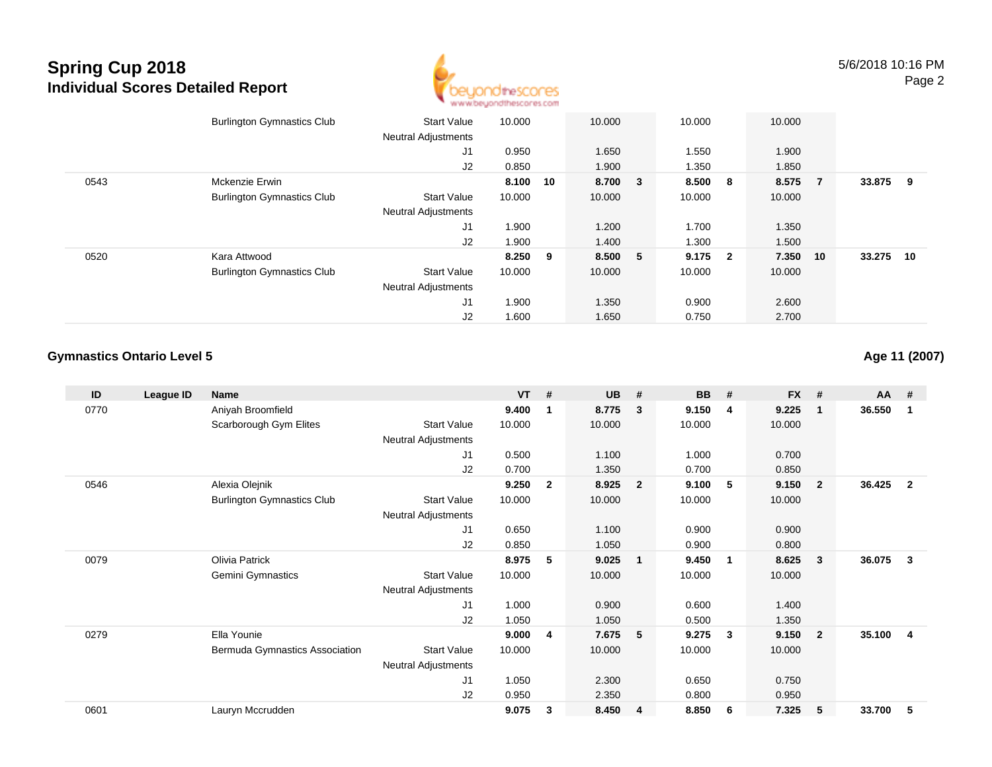

|      | <b>Burlington Gymnastics Club</b> | <b>Start Value</b><br><b>Neutral Adjustments</b> | 10.000 |    | 10.000  | 10.000  |                | 10.000 |                |        |     |
|------|-----------------------------------|--------------------------------------------------|--------|----|---------|---------|----------------|--------|----------------|--------|-----|
|      |                                   | J1                                               | 0.950  |    | 1.650   | 1.550   |                | 1.900  |                |        |     |
|      |                                   | J2                                               | 0.850  |    | 1.900   | 1.350   |                | 1.850  |                |        |     |
| 0543 | Mckenzie Erwin                    |                                                  | 8.100  | 10 | 8.700 3 | 8.500   | 8 <sup>1</sup> | 8.575  | $\overline{7}$ | 33.875 | - 9 |
|      | <b>Burlington Gymnastics Club</b> | <b>Start Value</b>                               | 10.000 |    | 10.000  | 10.000  |                | 10.000 |                |        |     |
|      |                                   | <b>Neutral Adjustments</b>                       |        |    |         |         |                |        |                |        |     |
|      |                                   | J1                                               | 1.900  |    | 1.200   | 1.700   |                | 1.350  |                |        |     |
|      |                                   | J2                                               | 1.900  |    | 1.400   | 1.300   |                | 1.500  |                |        |     |
| 0520 | Kara Attwood                      |                                                  | 8.250  | 9  | 8.500 5 | 9.175 2 |                | 7.350  | 10             | 33.275 | 10  |
|      | <b>Burlington Gymnastics Club</b> | <b>Start Value</b>                               | 10.000 |    | 10.000  | 10.000  |                | 10.000 |                |        |     |
|      |                                   | <b>Neutral Adjustments</b>                       |        |    |         |         |                |        |                |        |     |
|      |                                   | J1                                               | 1.900  |    | 1.350   | 0.900   |                | 2.600  |                |        |     |
|      |                                   | J2                                               | 1.600  |    | 1.650   | 0.750   |                | 2.700  |                |        |     |

### **Gymnastics Ontario Level 5**

**Age 11 (2007)**

| ID   | League ID | <b>Name</b>                       |                            | $VT$ # |                | <b>UB</b> | #              | <b>BB</b> | #              | <b>FX</b> | #              | <b>AA</b> | #              |
|------|-----------|-----------------------------------|----------------------------|--------|----------------|-----------|----------------|-----------|----------------|-----------|----------------|-----------|----------------|
| 0770 |           | Aniyah Broomfield                 |                            | 9.400  | $\mathbf 1$    | 8.775     | 3              | 9.150     | 4              | 9.225     | -1             | 36.550    | 1              |
|      |           | Scarborough Gym Elites            | <b>Start Value</b>         | 10.000 |                | 10.000    |                | 10.000    |                | 10.000    |                |           |                |
|      |           |                                   | <b>Neutral Adjustments</b> |        |                |           |                |           |                |           |                |           |                |
|      |           |                                   | J1                         | 0.500  |                | 1.100     |                | 1.000     |                | 0.700     |                |           |                |
|      |           |                                   | J2                         | 0.700  |                | 1.350     |                | 0.700     |                | 0.850     |                |           |                |
| 0546 |           | Alexia Olejnik                    |                            | 9.250  | $\overline{2}$ | 8.925     | $\overline{2}$ | 9.100     | -5             | 9.150     | $\overline{2}$ | 36.425    | $\overline{2}$ |
|      |           | <b>Burlington Gymnastics Club</b> | <b>Start Value</b>         | 10.000 |                | 10.000    |                | 10.000    |                | 10.000    |                |           |                |
|      |           |                                   | Neutral Adjustments        |        |                |           |                |           |                |           |                |           |                |
|      |           |                                   | J1                         | 0.650  |                | 1.100     |                | 0.900     |                | 0.900     |                |           |                |
|      |           |                                   | J2                         | 0.850  |                | 1.050     |                | 0.900     |                | 0.800     |                |           |                |
| 0079 |           | Olivia Patrick                    |                            | 8.975  | 5              | 9.025     | $\overline{1}$ | 9.450     | $\blacksquare$ | 8.625     | 3              | 36.075    | 3              |
|      |           | <b>Gemini Gymnastics</b>          | <b>Start Value</b>         | 10.000 |                | 10.000    |                | 10.000    |                | 10.000    |                |           |                |
|      |           |                                   | <b>Neutral Adjustments</b> |        |                |           |                |           |                |           |                |           |                |
|      |           |                                   | J1                         | 1.000  |                | 0.900     |                | 0.600     |                | 1.400     |                |           |                |
|      |           |                                   | J2                         | 1.050  |                | 1.050     |                | 0.500     |                | 1.350     |                |           |                |
| 0279 |           | Ella Younie                       |                            | 9.000  | 4              | 7.675     | 5              | 9.275     | 3              | 9.150     | $\overline{2}$ | 35.100    | 4              |
|      |           | Bermuda Gymnastics Association    | <b>Start Value</b>         | 10.000 |                | 10.000    |                | 10.000    |                | 10.000    |                |           |                |
|      |           |                                   | <b>Neutral Adjustments</b> |        |                |           |                |           |                |           |                |           |                |
|      |           |                                   | J1                         | 1.050  |                | 2.300     |                | 0.650     |                | 0.750     |                |           |                |
|      |           |                                   | J2                         | 0.950  |                | 2.350     |                | 0.800     |                | 0.950     |                |           |                |
| 0601 |           | Lauryn Mccrudden                  |                            | 9.075  | 3              | 8.450     | 4              | 8.850     | 6              | 7.325     | 5              | 33.700    | 5              |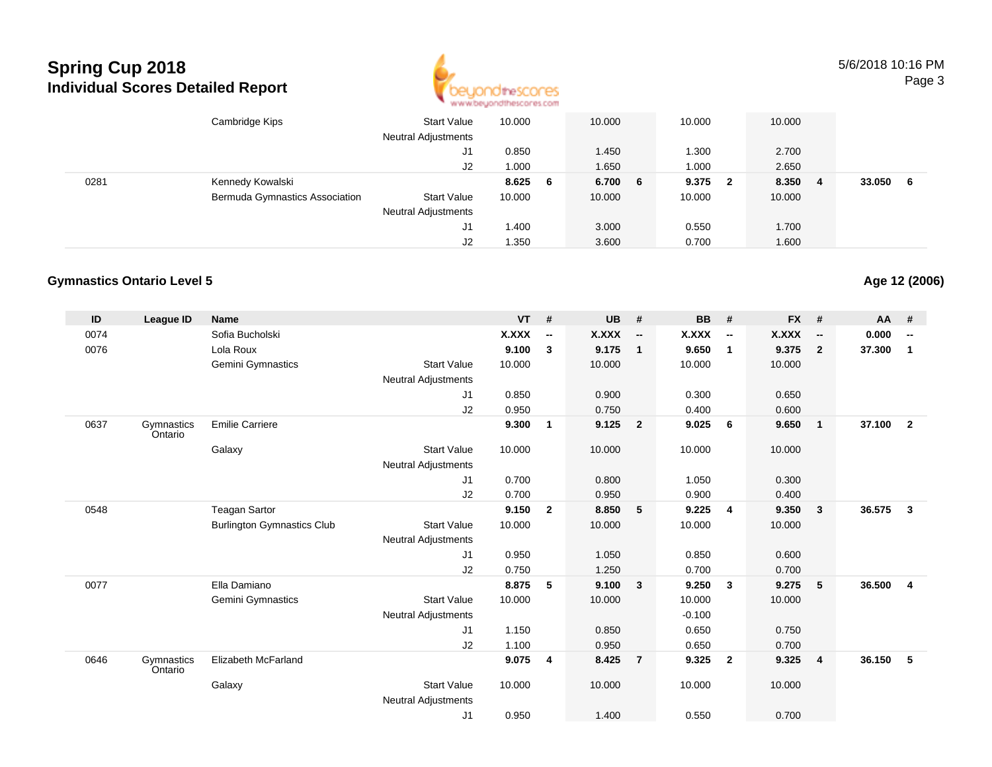

5/6/2018 10:16 PMPage 3

|      | Cambridge Kips                 | <b>Start Value</b><br><b>Neutral Adjustments</b> | 10.000  | 10.000  | 10.000 |     | 10.000 |    |        |     |
|------|--------------------------------|--------------------------------------------------|---------|---------|--------|-----|--------|----|--------|-----|
|      |                                | J1                                               | 0.850   | 1.450   | 1.300  |     | 2.700  |    |        |     |
|      |                                | J2                                               | 1.000   | 1.650   | 1.000  |     | 2.650  |    |        |     |
| 0281 | Kennedy Kowalski               |                                                  | 8.625 6 | 6.700 6 | 9.375  | - 2 | 8.350  | -4 | 33.050 | - 6 |
|      | Bermuda Gymnastics Association | <b>Start Value</b>                               | 10.000  | 10.000  | 10.000 |     | 10.000 |    |        |     |
|      |                                | <b>Neutral Adjustments</b>                       |         |         |        |     |        |    |        |     |
|      |                                | J1                                               | 1.400   | 3.000   | 0.550  |     | 1.700  |    |        |     |
|      |                                | J <sub>2</sub>                                   | 1.350   | 3.600   | 0.700  |     | 1.600  |    |        |     |

#### **Gymnastics Ontario Level 5**

| ID   | League ID             | <b>Name</b>                       |                            | <b>VT</b>    | #              | <b>UB</b> | #                        | <b>BB</b> | #                        | <b>FX</b>    | #                        | AA     | #                        |
|------|-----------------------|-----------------------------------|----------------------------|--------------|----------------|-----------|--------------------------|-----------|--------------------------|--------------|--------------------------|--------|--------------------------|
| 0074 |                       | Sofia Bucholski                   |                            | <b>X.XXX</b> | --             | X.XXX     | $\overline{\phantom{a}}$ | X.XXX     | $\overline{\phantom{a}}$ | <b>X.XXX</b> | $\overline{\phantom{a}}$ | 0.000  | $\overline{\phantom{a}}$ |
| 0076 |                       | Lola Roux                         |                            | 9.100        | 3              | 9.175     | $\overline{1}$           | 9.650     | $\overline{1}$           | 9.375        | $\overline{2}$           | 37.300 | 1                        |
|      |                       | Gemini Gymnastics                 | <b>Start Value</b>         | 10.000       |                | 10.000    |                          | 10.000    |                          | 10.000       |                          |        |                          |
|      |                       |                                   | <b>Neutral Adjustments</b> |              |                |           |                          |           |                          |              |                          |        |                          |
|      |                       |                                   | J1                         | 0.850        |                | 0.900     |                          | 0.300     |                          | 0.650        |                          |        |                          |
|      |                       |                                   | J2                         | 0.950        |                | 0.750     |                          | 0.400     |                          | 0.600        |                          |        |                          |
| 0637 | Gymnastics<br>Ontario | <b>Emilie Carriere</b>            |                            | 9.300        | $\mathbf 1$    | 9.125     | $\overline{\mathbf{2}}$  | 9.025     | - 6                      | 9.650        | $\overline{1}$           | 37.100 | $\overline{2}$           |
|      |                       | Galaxy                            | <b>Start Value</b>         | 10.000       |                | 10.000    |                          | 10.000    |                          | 10.000       |                          |        |                          |
|      |                       |                                   | <b>Neutral Adjustments</b> |              |                |           |                          |           |                          |              |                          |        |                          |
|      |                       |                                   | J1                         | 0.700        |                | 0.800     |                          | 1.050     |                          | 0.300        |                          |        |                          |
|      |                       |                                   | J2                         | 0.700        |                | 0.950     |                          | 0.900     |                          | 0.400        |                          |        |                          |
| 0548 |                       | <b>Teagan Sartor</b>              |                            | 9.150        | $\overline{2}$ | 8.850     | 5                        | 9.225     | $\overline{4}$           | 9.350        | $\overline{3}$           | 36.575 | 3                        |
|      |                       | <b>Burlington Gymnastics Club</b> | <b>Start Value</b>         | 10.000       |                | 10.000    |                          | 10.000    |                          | 10.000       |                          |        |                          |
|      |                       |                                   | <b>Neutral Adjustments</b> |              |                |           |                          |           |                          |              |                          |        |                          |
|      |                       |                                   | J <sub>1</sub>             | 0.950        |                | 1.050     |                          | 0.850     |                          | 0.600        |                          |        |                          |
|      |                       |                                   | J2                         | 0.750        |                | 1.250     |                          | 0.700     |                          | 0.700        |                          |        |                          |
| 0077 |                       | Ella Damiano                      |                            | 8.875        | 5              | 9.100     | $\overline{\mathbf{3}}$  | 9.250     | $\mathbf{3}$             | 9.275        | 5                        | 36.500 | $\overline{4}$           |
|      |                       | Gemini Gymnastics                 | <b>Start Value</b>         | 10.000       |                | 10.000    |                          | 10.000    |                          | 10.000       |                          |        |                          |
|      |                       |                                   | <b>Neutral Adjustments</b> |              |                |           |                          | $-0.100$  |                          |              |                          |        |                          |
|      |                       |                                   | J1                         | 1.150        |                | 0.850     |                          | 0.650     |                          | 0.750        |                          |        |                          |
|      |                       |                                   | J2                         | 1.100        |                | 0.950     |                          | 0.650     |                          | 0.700        |                          |        |                          |
| 0646 | Gymnastics<br>Ontario | Elizabeth McFarland               |                            | 9.075        | 4              | 8.425     | $\overline{7}$           | 9.325     | $\overline{2}$           | 9.325        | $\overline{4}$           | 36.150 | 5                        |
|      |                       | Galaxy                            | <b>Start Value</b>         | 10.000       |                | 10.000    |                          | 10.000    |                          | 10.000       |                          |        |                          |
|      |                       |                                   | <b>Neutral Adjustments</b> |              |                |           |                          |           |                          |              |                          |        |                          |
|      |                       |                                   | J <sub>1</sub>             | 0.950        |                | 1.400     |                          | 0.550     |                          | 0.700        |                          |        |                          |

**Age 12 (2006)**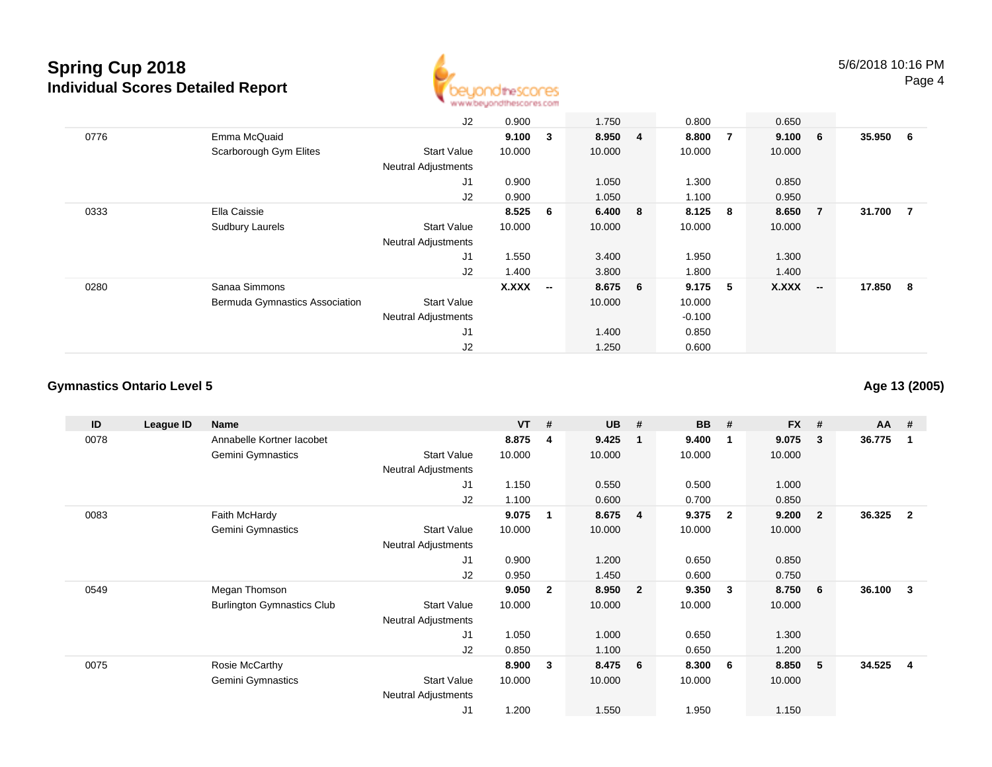

|      |                                | J2                         | 0.900  |              | 1.750   | 0.800    |                | 0.650     |                |          |                |
|------|--------------------------------|----------------------------|--------|--------------|---------|----------|----------------|-----------|----------------|----------|----------------|
| 0776 | Emma McQuaid                   |                            | 9.100  | $\mathbf{3}$ | 8.950 4 | 8.800    | $\overline{7}$ | 9.100 6   |                | 35.950 6 |                |
|      | Scarborough Gym Elites         | <b>Start Value</b>         | 10.000 |              | 10.000  | 10.000   |                | 10.000    |                |          |                |
|      |                                | <b>Neutral Adjustments</b> |        |              |         |          |                |           |                |          |                |
|      |                                | J1                         | 0.900  |              | 1.050   | 1.300    |                | 0.850     |                |          |                |
|      |                                | J2                         | 0.900  |              | 1.050   | 1.100    |                | 0.950     |                |          |                |
| 0333 | Ella Caissie                   |                            | 8.525  | - 6          | 6.400 8 | 8.125 8  |                | 8.650     | $\overline{7}$ | 31.700   | $\overline{7}$ |
|      | <b>Sudbury Laurels</b>         | <b>Start Value</b>         | 10.000 |              | 10.000  | 10.000   |                | 10.000    |                |          |                |
|      |                                | <b>Neutral Adjustments</b> |        |              |         |          |                |           |                |          |                |
|      |                                | J1                         | 1.550  |              | 3.400   | 1.950    |                | 1.300     |                |          |                |
|      |                                | J2                         | 1.400  |              | 3.800   | 1.800    |                | 1.400     |                |          |                |
| 0280 | Sanaa Simmons                  |                            | X.XXX  | $\sim$       | 8.675 6 | 9.175    | -5             | $X.XXX$ - |                | 17.850 8 |                |
|      | Bermuda Gymnastics Association | <b>Start Value</b>         |        |              | 10.000  | 10.000   |                |           |                |          |                |
|      |                                | <b>Neutral Adjustments</b> |        |              |         | $-0.100$ |                |           |                |          |                |
|      |                                | J1                         |        |              | 1.400   | 0.850    |                |           |                |          |                |
|      |                                | J2                         |        |              | 1.250   | 0.600    |                |           |                |          |                |

### **Gymnastics Ontario Level 5**

**Age 13 (2005)**

| ID   | League ID | Name                              |                            | <b>VT</b> | #              | <b>UB</b> | #                       | <b>BB</b> | #                       | <b>FX</b> | #            | $AA$ # |                |
|------|-----------|-----------------------------------|----------------------------|-----------|----------------|-----------|-------------------------|-----------|-------------------------|-----------|--------------|--------|----------------|
| 0078 |           | Annabelle Kortner lacobet         |                            | 8.875     | 4              | 9.425     | -1                      | 9.400     | $\mathbf 1$             | 9.075     | 3            | 36.775 | -1             |
|      |           | Gemini Gymnastics                 | <b>Start Value</b>         | 10.000    |                | 10.000    |                         | 10.000    |                         | 10.000    |              |        |                |
|      |           |                                   | Neutral Adjustments        |           |                |           |                         |           |                         |           |              |        |                |
|      |           |                                   | J1                         | 1.150     |                | 0.550     |                         | 0.500     |                         | 1.000     |              |        |                |
|      |           |                                   | J2                         | 1.100     |                | 0.600     |                         | 0.700     |                         | 0.850     |              |        |                |
| 0083 |           | Faith McHardy                     |                            | 9.075     | 1              | 8.675     | $\overline{4}$          | 9.375     | $\overline{\mathbf{2}}$ | 9.200     | $\mathbf{2}$ | 36.325 | $\overline{2}$ |
|      |           | Gemini Gymnastics                 | <b>Start Value</b>         | 10.000    |                | 10.000    |                         | 10.000    |                         | 10.000    |              |        |                |
|      |           |                                   | Neutral Adjustments        |           |                |           |                         |           |                         |           |              |        |                |
|      |           |                                   | J1                         | 0.900     |                | 1.200     |                         | 0.650     |                         | 0.850     |              |        |                |
|      |           |                                   | J2                         | 0.950     |                | 1.450     |                         | 0.600     |                         | 0.750     |              |        |                |
| 0549 |           | Megan Thomson                     |                            | 9.050     | $\overline{2}$ | 8.950     | $\overline{\mathbf{2}}$ | 9.350     | - 3                     | 8.750     | 6            | 36.100 | 3              |
|      |           | <b>Burlington Gymnastics Club</b> | <b>Start Value</b>         | 10.000    |                | 10.000    |                         | 10.000    |                         | 10.000    |              |        |                |
|      |           |                                   | <b>Neutral Adjustments</b> |           |                |           |                         |           |                         |           |              |        |                |
|      |           |                                   | J <sub>1</sub>             | 1.050     |                | 1.000     |                         | 0.650     |                         | 1.300     |              |        |                |
|      |           |                                   | J <sub>2</sub>             | 0.850     |                | 1.100     |                         | 0.650     |                         | 1.200     |              |        |                |
| 0075 |           | Rosie McCarthy                    |                            | 8.900     | 3              | 8.475     | 6                       | 8.300     | - 6                     | 8.850     | 5            | 34.525 | $\overline{4}$ |
|      |           | Gemini Gymnastics                 | Start Value                | 10.000    |                | 10.000    |                         | 10.000    |                         | 10.000    |              |        |                |
|      |           |                                   | <b>Neutral Adjustments</b> |           |                |           |                         |           |                         |           |              |        |                |
|      |           |                                   | J <sub>1</sub>             | 1.200     |                | 1.550     |                         | 1.950     |                         | 1.150     |              |        |                |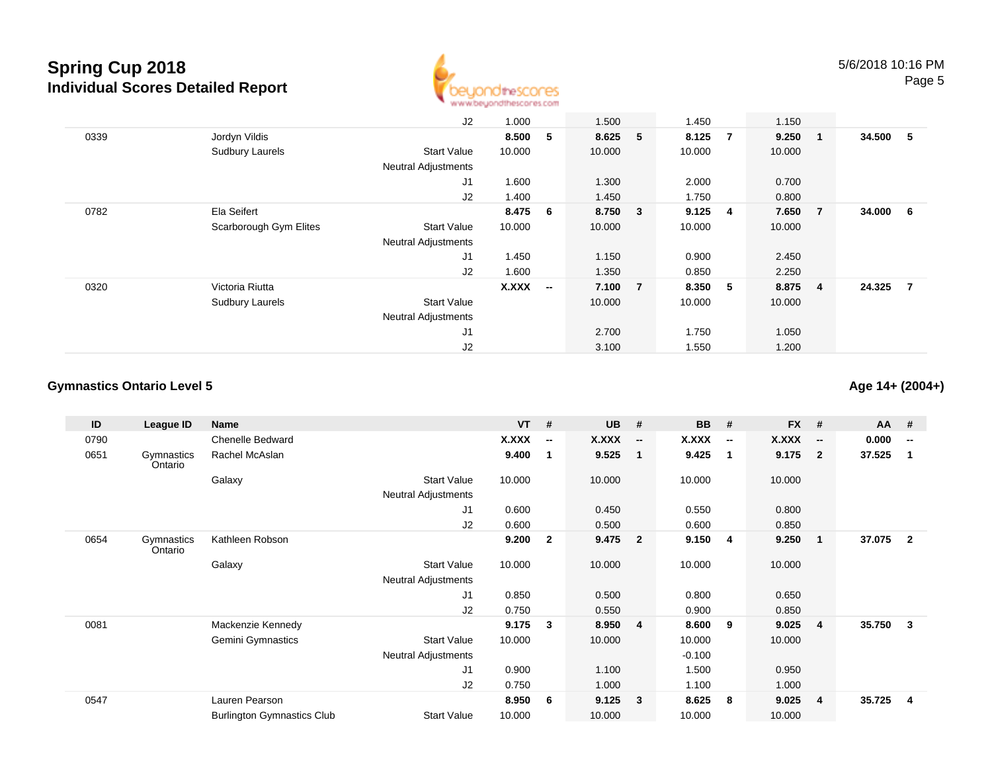

|      |                        | J2                         | 1.000  |                          | 1.500   |                | 1.450  |                | 1.150  |                |        |                |
|------|------------------------|----------------------------|--------|--------------------------|---------|----------------|--------|----------------|--------|----------------|--------|----------------|
| 0339 | Jordyn Vildis          |                            | 8.500  | 5                        | 8.625 5 |                | 8.125  | $\overline{7}$ | 9.250  | $\blacksquare$ | 34.500 | - 5            |
|      | Sudbury Laurels        | <b>Start Value</b>         | 10.000 |                          | 10.000  |                | 10.000 |                | 10.000 |                |        |                |
|      |                        | <b>Neutral Adjustments</b> |        |                          |         |                |        |                |        |                |        |                |
|      |                        | J <sub>1</sub>             | 1.600  |                          | 1.300   |                | 2.000  |                | 0.700  |                |        |                |
|      |                        | J2                         | 1.400  |                          | 1.450   |                | 1.750  |                | 0.800  |                |        |                |
| 0782 | Ela Seifert            |                            | 8.475  | - 6                      | 8.750 3 |                | 9.125  | $\overline{4}$ | 7.650  | $\overline{7}$ | 34.000 | - 6            |
|      | Scarborough Gym Elites | <b>Start Value</b>         | 10.000 |                          | 10.000  |                | 10.000 |                | 10.000 |                |        |                |
|      |                        | <b>Neutral Adjustments</b> |        |                          |         |                |        |                |        |                |        |                |
|      |                        | J <sub>1</sub>             | 1.450  |                          | 1.150   |                | 0.900  |                | 2.450  |                |        |                |
|      |                        | J2                         | 1.600  |                          | 1.350   |                | 0.850  |                | 2.250  |                |        |                |
| 0320 | Victoria Riutta        |                            | X.XXX  | $\overline{\phantom{a}}$ | 7.100   | $\overline{7}$ | 8.350  | 5              | 8.875  | $\overline{4}$ | 24.325 | $\overline{7}$ |
|      | Sudbury Laurels        | <b>Start Value</b>         |        |                          | 10.000  |                | 10.000 |                | 10.000 |                |        |                |
|      |                        | <b>Neutral Adjustments</b> |        |                          |         |                |        |                |        |                |        |                |
|      |                        | J1                         |        |                          | 2.700   |                | 1.750  |                | 1.050  |                |        |                |
|      |                        | J2                         |        |                          | 3.100   |                | 1.550  |                | 1.200  |                |        |                |

### **Gymnastics Ontario Level 5**

**Age 14+ (2004+)**

| ID   | League ID             | Name                              |                            | <b>VT</b> | #                        | <b>UB</b> | - #                      | <b>BB</b> | #                        | <b>FX</b> | #                        | $AA$ # |                          |
|------|-----------------------|-----------------------------------|----------------------------|-----------|--------------------------|-----------|--------------------------|-----------|--------------------------|-----------|--------------------------|--------|--------------------------|
| 0790 |                       | <b>Chenelle Bedward</b>           |                            | X.XXX     | $\overline{\phantom{a}}$ | X.XXX     | $\overline{\phantom{a}}$ | X.XXX     | $\overline{\phantom{a}}$ | X.XXX     | $\overline{\phantom{a}}$ | 0.000  | $\overline{\phantom{a}}$ |
| 0651 | Gymnastics<br>Ontario | Rachel McAslan                    |                            | 9.400     | $\mathbf 1$              | 9.525     | $\overline{1}$           | 9.425     | $\overline{\mathbf{1}}$  | 9.175     | $\overline{2}$           | 37.525 | 1                        |
|      |                       | Galaxy                            | <b>Start Value</b>         | 10.000    |                          | 10.000    |                          | 10.000    |                          | 10.000    |                          |        |                          |
|      |                       |                                   | Neutral Adjustments        |           |                          |           |                          |           |                          |           |                          |        |                          |
|      |                       |                                   | J1                         | 0.600     |                          | 0.450     |                          | 0.550     |                          | 0.800     |                          |        |                          |
|      |                       |                                   | J2                         | 0.600     |                          | 0.500     |                          | 0.600     |                          | 0.850     |                          |        |                          |
| 0654 | Gymnastics<br>Ontario | Kathleen Robson                   |                            | 9.200     | $\mathbf{2}$             | 9.475     | $\overline{\phantom{a}}$ | 9.150     | $\overline{\mathbf{4}}$  | 9.250     | $\mathbf{1}$             | 37.075 | $\overline{2}$           |
|      |                       | Galaxy                            | <b>Start Value</b>         | 10.000    |                          | 10.000    |                          | 10.000    |                          | 10.000    |                          |        |                          |
|      |                       |                                   | <b>Neutral Adjustments</b> |           |                          |           |                          |           |                          |           |                          |        |                          |
|      |                       |                                   | J1                         | 0.850     |                          | 0.500     |                          | 0.800     |                          | 0.650     |                          |        |                          |
|      |                       |                                   | J2                         | 0.750     |                          | 0.550     |                          | 0.900     |                          | 0.850     |                          |        |                          |
| 0081 |                       | Mackenzie Kennedy                 |                            | 9.175     | 3                        | 8.950     | $\overline{4}$           | 8.600     | 9                        | 9.025     | $\overline{4}$           | 35.750 | 3                        |
|      |                       | Gemini Gymnastics                 | <b>Start Value</b>         | 10.000    |                          | 10.000    |                          | 10.000    |                          | 10.000    |                          |        |                          |
|      |                       |                                   | Neutral Adjustments        |           |                          |           |                          | $-0.100$  |                          |           |                          |        |                          |
|      |                       |                                   | J <sub>1</sub>             | 0.900     |                          | 1.100     |                          | 1.500     |                          | 0.950     |                          |        |                          |
|      |                       |                                   | J2                         | 0.750     |                          | 1.000     |                          | 1.100     |                          | 1.000     |                          |        |                          |
| 0547 |                       | Lauren Pearson                    |                            | 8.950     | 6                        | 9.125     | $\overline{\mathbf{3}}$  | 8.625     | -8                       | 9.025     | 4                        | 35.725 | 4                        |
|      |                       | <b>Burlington Gymnastics Club</b> | <b>Start Value</b>         | 10.000    |                          | 10.000    |                          | 10.000    |                          | 10.000    |                          |        |                          |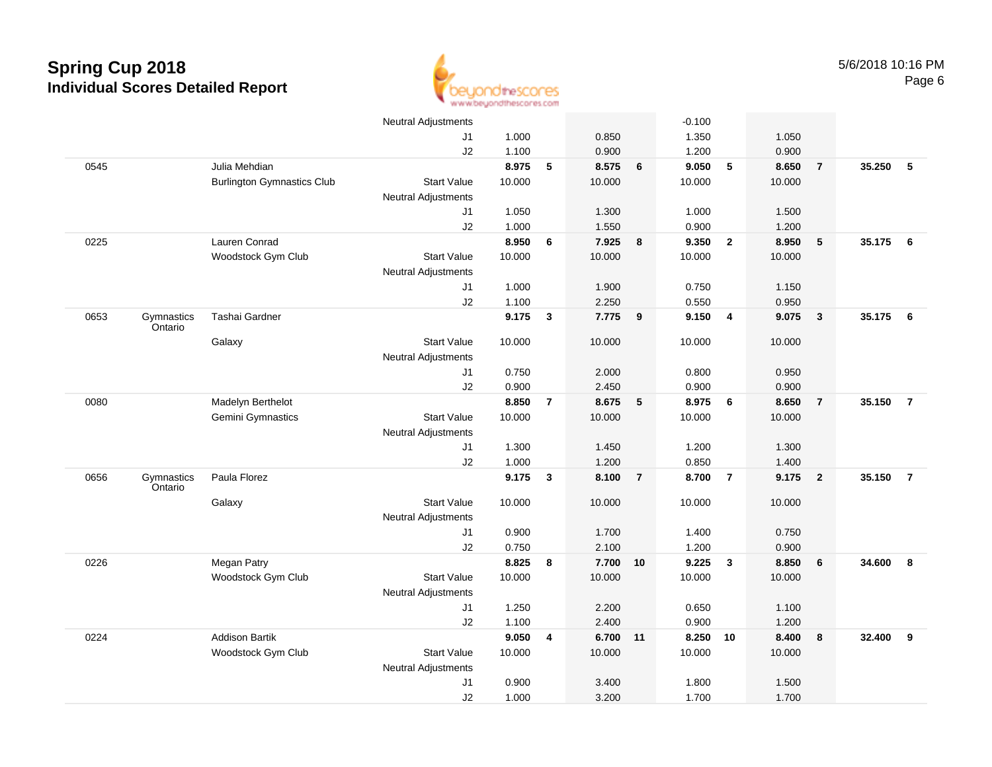

|      |                       |                                   | <b>Neutral Adjustments</b> |        |                |          |                         | $-0.100$ |                         |        |                |          |                 |
|------|-----------------------|-----------------------------------|----------------------------|--------|----------------|----------|-------------------------|----------|-------------------------|--------|----------------|----------|-----------------|
|      |                       |                                   | J1                         | 1.000  |                | 0.850    |                         | 1.350    |                         | 1.050  |                |          |                 |
|      |                       |                                   | J2                         | 1.100  |                | 0.900    |                         | 1.200    |                         | 0.900  |                |          |                 |
| 0545 |                       | Julia Mehdian                     |                            | 8.975  | 5              | 8.575    | $6\phantom{1}6$         | 9.050    | 5                       | 8.650  | $\overline{7}$ | 35.250   | 5               |
|      |                       | <b>Burlington Gymnastics Club</b> | <b>Start Value</b>         | 10.000 |                | 10.000   |                         | 10.000   |                         | 10.000 |                |          |                 |
|      |                       |                                   | <b>Neutral Adjustments</b> |        |                |          |                         |          |                         |        |                |          |                 |
|      |                       |                                   | J1                         | 1.050  |                | 1.300    |                         | 1.000    |                         | 1.500  |                |          |                 |
|      |                       |                                   | J2                         | 1.000  |                | 1.550    |                         | 0.900    |                         | 1.200  |                |          |                 |
| 0225 |                       | Lauren Conrad                     |                            | 8.950  | 6              | 7.925    | 8                       | 9.350    | $\overline{2}$          | 8.950  | $\sqrt{5}$     | 35.175 6 |                 |
|      |                       | Woodstock Gym Club                | <b>Start Value</b>         | 10.000 |                | 10.000   |                         | 10.000   |                         | 10.000 |                |          |                 |
|      |                       |                                   | <b>Neutral Adjustments</b> |        |                |          |                         |          |                         |        |                |          |                 |
|      |                       |                                   | J1                         | 1.000  |                | 1.900    |                         | 0.750    |                         | 1.150  |                |          |                 |
|      |                       |                                   | J2                         | 1.100  |                | 2.250    |                         | 0.550    |                         | 0.950  |                |          |                 |
| 0653 | Gymnastics<br>Ontario | Tashai Gardner                    |                            | 9.175  | $\mathbf{3}$   | 7.775    | $\overline{\mathbf{9}}$ | 9.150    | 4                       | 9.075  | $\mathbf{3}$   | 35.175   | $6\overline{6}$ |
|      |                       | Galaxy                            | <b>Start Value</b>         | 10.000 |                | 10.000   |                         | 10.000   |                         | 10.000 |                |          |                 |
|      |                       |                                   | Neutral Adjustments        |        |                |          |                         |          |                         |        |                |          |                 |
|      |                       |                                   | J1                         | 0.750  |                | 2.000    |                         | 0.800    |                         | 0.950  |                |          |                 |
|      |                       |                                   | J2                         | 0.900  |                | 2.450    |                         | 0.900    |                         | 0.900  |                |          |                 |
| 0080 |                       | Madelyn Berthelot                 |                            | 8.850  | $\overline{7}$ | 8.675    | 5                       | 8.975    | $6\phantom{1}6$         | 8.650  | $\overline{7}$ | 35.150   | $\overline{7}$  |
|      |                       | Gemini Gymnastics                 | <b>Start Value</b>         | 10.000 |                | 10.000   |                         | 10.000   |                         | 10.000 |                |          |                 |
|      |                       |                                   | <b>Neutral Adjustments</b> |        |                |          |                         |          |                         |        |                |          |                 |
|      |                       |                                   | J1                         | 1.300  |                | 1.450    |                         | 1.200    |                         | 1.300  |                |          |                 |
|      |                       |                                   | J2                         | 1.000  |                | 1.200    |                         | 0.850    |                         | 1.400  |                |          |                 |
| 0656 | Gymnastics<br>Ontario | Paula Florez                      |                            | 9.175  | 3              | 8.100    | $\overline{7}$          | 8.700    | $\overline{7}$          | 9.175  | $\overline{2}$ | 35.150   | $\overline{7}$  |
|      |                       | Galaxy                            | <b>Start Value</b>         | 10.000 |                | 10.000   |                         | 10.000   |                         | 10.000 |                |          |                 |
|      |                       |                                   | <b>Neutral Adjustments</b> |        |                |          |                         |          |                         |        |                |          |                 |
|      |                       |                                   | J1                         | 0.900  |                | 1.700    |                         | 1.400    |                         | 0.750  |                |          |                 |
|      |                       |                                   | J2                         | 0.750  |                | 2.100    |                         | 1.200    |                         | 0.900  |                |          |                 |
| 0226 |                       | Megan Patry                       |                            | 8.825  | 8              | 7.700 10 |                         | 9.225    | $\overline{\mathbf{3}}$ | 8.850  | 6              | 34.600   | 8               |
|      |                       | Woodstock Gym Club                | <b>Start Value</b>         | 10.000 |                | 10.000   |                         | 10.000   |                         | 10.000 |                |          |                 |
|      |                       |                                   | <b>Neutral Adjustments</b> |        |                |          |                         |          |                         |        |                |          |                 |
|      |                       |                                   | J1                         | 1.250  |                | 2.200    |                         | 0.650    |                         | 1.100  |                |          |                 |
|      |                       |                                   | J2                         | 1.100  |                | 2.400    |                         | 0.900    |                         | 1.200  |                |          |                 |
| 0224 |                       | <b>Addison Bartik</b>             |                            | 9.050  | 4              | 6.700    | 11                      | 8.250    | 10                      | 8.400  | 8              | 32.400   | 9               |
|      |                       | Woodstock Gym Club                | <b>Start Value</b>         | 10.000 |                | 10.000   |                         | 10.000   |                         | 10.000 |                |          |                 |
|      |                       |                                   | <b>Neutral Adjustments</b> |        |                |          |                         |          |                         |        |                |          |                 |
|      |                       |                                   | J1                         | 0.900  |                | 3.400    |                         | 1.800    |                         | 1.500  |                |          |                 |
|      |                       |                                   | J2                         | 1.000  |                | 3.200    |                         | 1.700    |                         | 1.700  |                |          |                 |